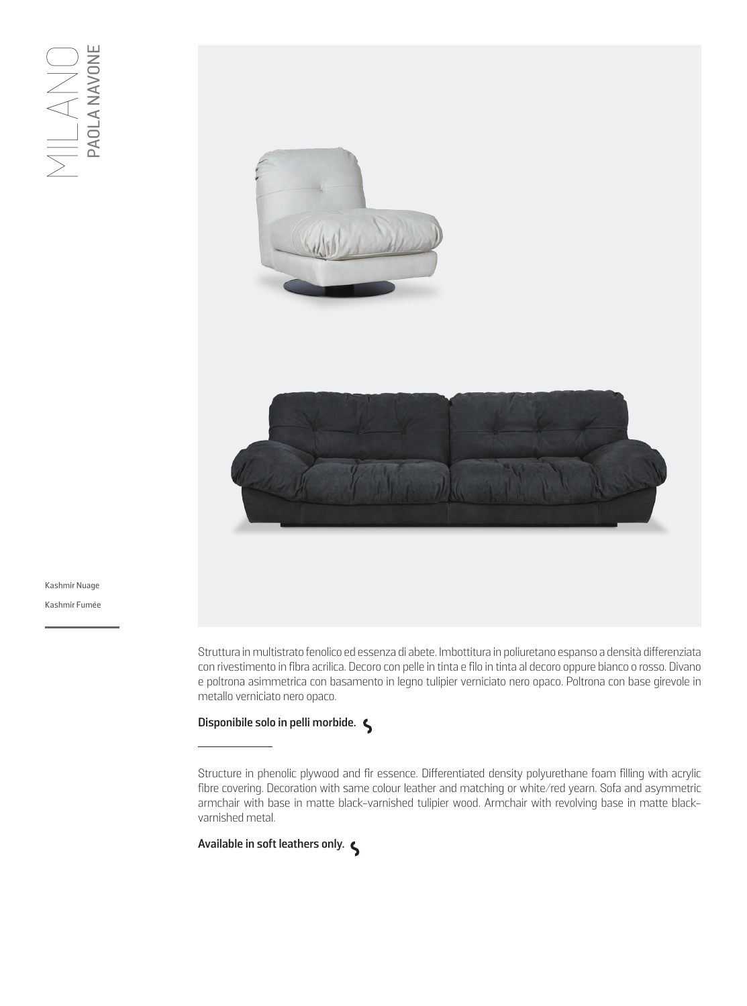

Kashmir Nuage Kashmir Fumée

> Struttura in multistrato fenolico ed essenza di abete. Imbottitura in poliuretano espanso a densità differenziata con rivestimento in fibra acrilica. Decoro con pelle in tinta e filo in tinta al decoro oppure bianco o rosso. Divano e poltrona asimmetrica con basamento in legno tulipier verniciato nero opaco. Poltrona con base girevole in metallo verniciato nero opaco.

## **Disponibile solo in pelli morbide.**

Structure in phenolic plywood and fir essence. Differentiated density polyurethane foam filling with acrylic fibre covering. Decoration with same colour leather and matching or white/red yearn. Sofa and asymmetric armchair with base in matte black-varnished tulipier wood. Armchair with revolving base in matte blackvarnished metal.

**Available in soft leathers only.**